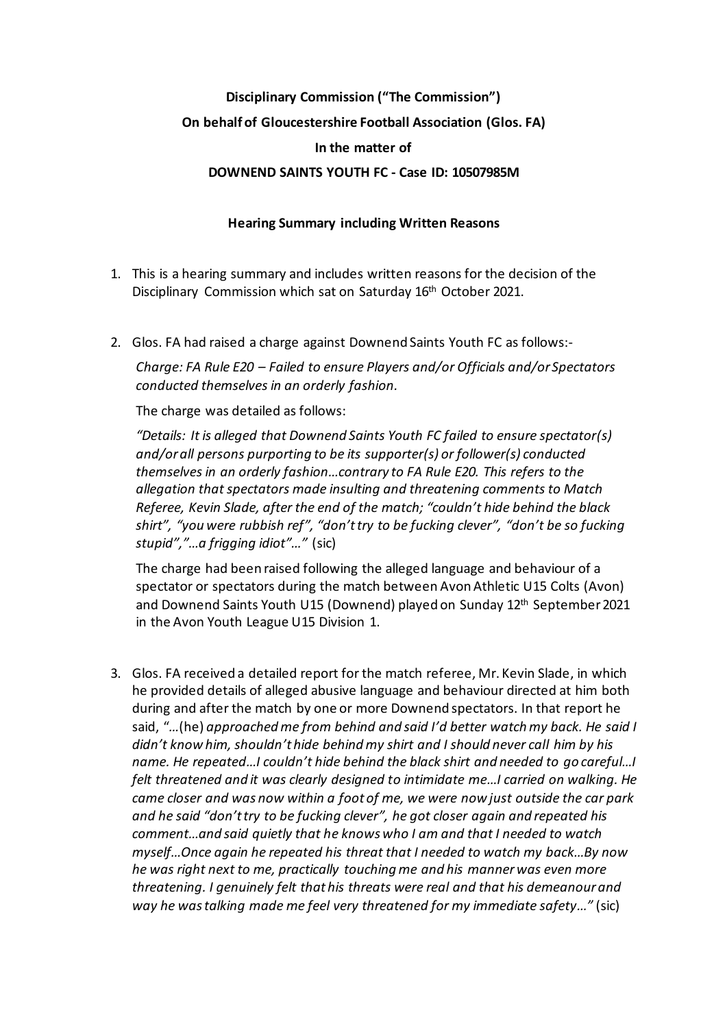## **Disciplinary Commission ("The Commission") On behalf of Gloucestershire Football Association (Glos. FA) In the matter of DOWNEND SAINTS YOUTH FC - Case ID: 10507985M**

## **Hearing Summary including Written Reasons**

- 1. This is a hearing summary and includes written reasons for the decision of the Disciplinary Commission which sat on Saturday 16th October 2021.
- 2. Glos. FA had raised a charge against Downend Saints Youth FC as follows:-

*Charge: FA Rule E20 – Failed to ensure Players and/or Officials and/or Spectators conducted themselves in an orderly fashion.*

The charge was detailed as follows:

*"Details: It is alleged that Downend Saints Youth FC failed to ensure spectator(s) and/or all persons purporting to be its supporter(s) or follower(s) conducted themselves in an orderly fashion…contrary to FA Rule E20. This refers to the allegation that spectators made insulting and threatening comments to Match Referee, Kevin Slade, after the end of the match; "couldn't hide behind the black shirt", "you were rubbish ref", "don't try to be fucking clever", "don't be so fucking stupid","…a frigging idiot"…"* (sic)

The charge had been raised following the alleged language and behaviour of a spectator or spectators during the match between Avon Athletic U15 Colts (Avon) and Downend Saints Youth U15 (Downend) played on Sunday 12<sup>th</sup> September 2021 in the Avon Youth League U15 Division 1.

3. Glos. FA received a detailed report for the match referee, Mr. Kevin Slade, in which he provided details of alleged abusive language and behaviour directed at him both during and after the match by one or more Downend spectators. In that report he said, "*…*(he) *approached me from behind and said I'd better watch my back. He said I didn't know him, shouldn't hide behind my shirt and I should never call him by his name. He repeated…I couldn't hide behind the black shirt and needed to go careful…I felt threatened and it was clearly designed to intimidate me…I carried on walking. He came closer and was now within a foot of me, we were now just outside the car park and he said "don't try to be fucking clever", he got closer again and repeated his comment…and said quietly that he knows who I am and that I needed to watch myself…Once again he repeated his threat that I needed to watch my back…By now he was right next to me, practically touching me and his mannerwas even more threatening. I genuinely felt that his threats were real and that his demeanour and way he was talking made me feel very threatened for my immediate safety…"* (sic)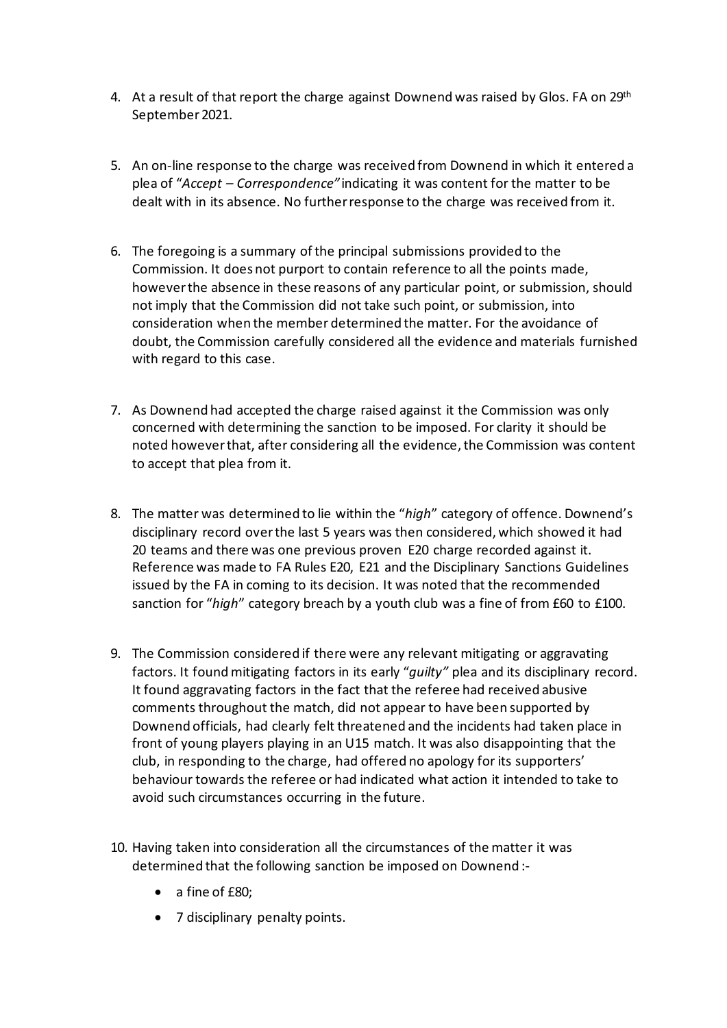- 4. At a result of that report the charge against Downend was raised by Glos. FA on 29<sup>th</sup> September 2021.
- 5. An on-line response to the charge was received from Downend in which it entered a plea of "*Accept – Correspondence"* indicating it was content for the matter to be dealt with in its absence. No further response to the charge was received from it.
- 6. The foregoing is a summary of the principal submissions provided to the Commission. It does not purport to contain reference to all the points made, however the absence in these reasons of any particular point, or submission, should not imply that the Commission did not take such point, or submission, into consideration when the member determined the matter. For the avoidance of doubt, the Commission carefully considered all the evidence and materials furnished with regard to this case.
- 7. As Downend had accepted the charge raised against it the Commission was only concerned with determining the sanction to be imposed. For clarity it should be noted however that, after considering all the evidence, the Commission was content to accept that plea from it.
- 8. The matter was determined to lie within the "*high*" category of offence. Downend's disciplinary record over the last 5 years was then considered, which showed it had 20 teams and there was one previous proven E20 charge recorded against it. Reference was made to FA Rules E20, E21 and the Disciplinary Sanctions Guidelines issued by the FA in coming to its decision. It was noted that the recommended sanction for "*high*" category breach by a youth club was a fine of from £60 to £100.
- 9. The Commission considered if there were any relevant mitigating or aggravating factors. It found mitigating factors in its early "*guilty"* plea and its disciplinary record. It found aggravating factors in the fact that the referee had received abusive comments throughout the match, did not appear to have been supported by Downend officials, had clearly felt threatened and the incidents had taken place in front of young players playing in an U15 match. It was also disappointing that the club, in responding to the charge, had offered no apology for its supporters' behaviour towards the referee or had indicated what action it intended to take to avoid such circumstances occurring in the future.
- 10. Having taken into consideration all the circumstances of the matter it was determined that the following sanction be imposed on Downend :-
	- a fine of £80;
	- 7 disciplinary penalty points.